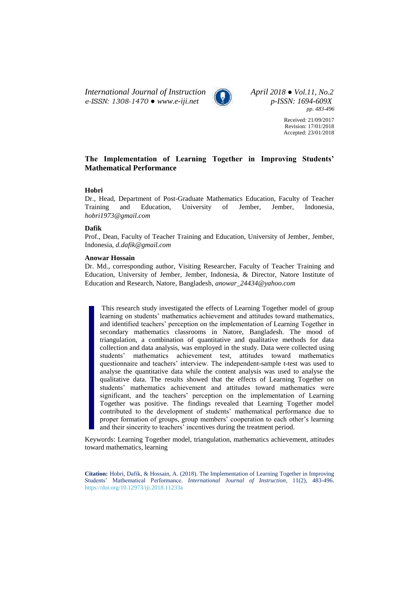*International Journal of Instruction April 2018 ● Vol.11, No.2 e-ISSN: 1308-1470 ● [www.e-iji.net](http://www.e-iji.net/) p-ISSN: 1694-609X*



*pp. 483-496*

Received: 21/09/2017 Revision: 17/01/2018 Accepted: 23/01/2018

# **The Implementation of Learning Together in Improving Students' Mathematical Performance**

# **Hobri**

Dr., Head, Department of Post-Graduate Mathematics Education, Faculty of Teacher Training and Education, University of Jember, Jember, Indonesia, *hobri1973@gmail.com*

# **Dafik**

Prof., Dean, Faculty of Teacher Training and Education, University of Jember, Jember, Indonesia, *d.dafik@gmail.com*

### **Anowar Hossain**

Dr. Md., corresponding author, Visiting Researcher, Faculty of Teacher Training and Education, University of Jember, Jember, Indonesia, & Director, Natore Institute of Education and Research, Natore, Bangladesh, *anowar\_24434@yahoo.com*

This research study investigated the effects of Learning Together model of group learning on students' mathematics achievement and attitudes toward mathematics, and identified teachers' perception on the implementation of Learning Together in secondary mathematics classrooms in Natore, Bangladesh. The mood of triangulation, a combination of quantitative and qualitative methods for data collection and data analysis, was employed in the study. Data were collected using students' mathematics achievement test, attitudes toward mathematics questionnaire and teachers' interview. The independent-sample t-test was used to analyse the quantitative data while the content analysis was used to analyse the qualitative data. The results showed that the effects of Learning Together on students' mathematics achievement and attitudes toward mathematics were significant, and the teachers' perception on the implementation of Learning Together was positive. The findings revealed that Learning Together model contributed to the development of students' mathematical performance due to proper formation of groups, group members' cooperation to each other's learning and their sincerity to teachers' incentives during the treatment period.

Keywords: Learning Together model, triangulation, mathematics achievement, attitudes toward mathematics, learning

**Citation:** Hobri, Dafik, & Hossain, A. (2018). The Implementation of Learning Together in Improving Students' Mathematical Performance. *International Journal of Instruction*, 11(2), 483-496. <https://doi.org/10.12973/iji.2018.11233a>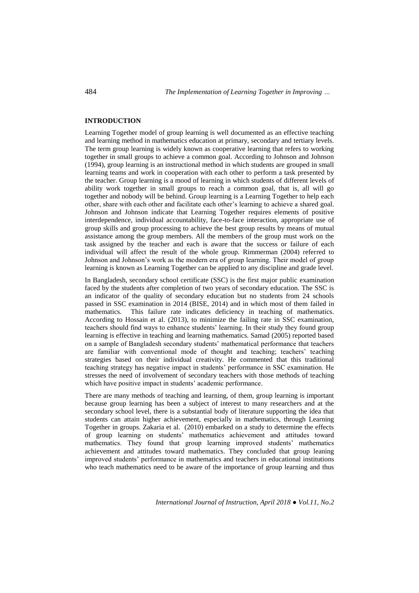# **INTRODUCTION**

Learning Together model of group learning is well documented as an effective teaching and learning method in mathematics education at primary, secondary and tertiary levels. The term group learning is widely known as cooperative learning that refers to working together in small groups to achieve a common goal. According to Johnson and Johnson (1994), group learning is an instructional method in which students are grouped in small learning teams and work in cooperation with each other to perform a task presented by the teacher. Group learning is a mood of learning in which students of different levels of ability work together in small groups to reach a common goal, that is, all will go together and nobody will be behind. Group learning is a Learning Together to help each other, share with each other and facilitate each other's learning to achieve a shared goal. Johnson and Johnson indicate that Learning Together requires elements of positive interdependence, individual accountability, face-to-face interaction, appropriate use of group skills and group processing to achieve the best group results by means of mutual assistance among the group members. All the members of the group must work on the task assigned by the teacher and each is aware that the success or failure of each individual will affect the result of the whole group. Rimmerman (2004) referred to Johnson and Johnson's work as the modern era of group learning. Their model of group learning is known as Learning Together can be applied to any discipline and grade level.

In Bangladesh, secondary school certificate (SSC) is the first major public examination faced by the students after completion of two years of secondary education. The SSC is an indicator of the quality of secondary education but no students from 24 schools passed in SSC examination in 2014 (BISE, 2014) and in which most of them failed in mathematics. This failure rate indicates deficiency in teaching of mathematics. According to Hossain et al. (2013), to minimize the failing rate in SSC examination, teachers should find ways to enhance students' learning. In their study they found group learning is effective in teaching and learning mathematics. Samad (2005) reported based on a sample of Bangladesh secondary students' mathematical performance that teachers are familiar with conventional mode of thought and teaching; teachers' teaching strategies based on their individual creativity. He commented that this traditional teaching strategy has negative impact in students' performance in SSC examination. He stresses the need of involvement of secondary teachers with those methods of teaching which have positive impact in students' academic performance.

There are many methods of teaching and learning, of them, group learning is important because group learning has been a subject of interest to many researchers and at the secondary school level, there is a substantial body of literature supporting the idea that students can attain higher achievement, especially in mathematics, through Learning Together in groups. Zakaria et al. (2010) embarked on a study to determine the effects of group learning on students' mathematics achievement and attitudes toward mathematics. They found that group learning improved students' mathematics achievement and attitudes toward mathematics. They concluded that group leaning improved students' performance in mathematics and teachers in educational institutions who teach mathematics need to be aware of the importance of group learning and thus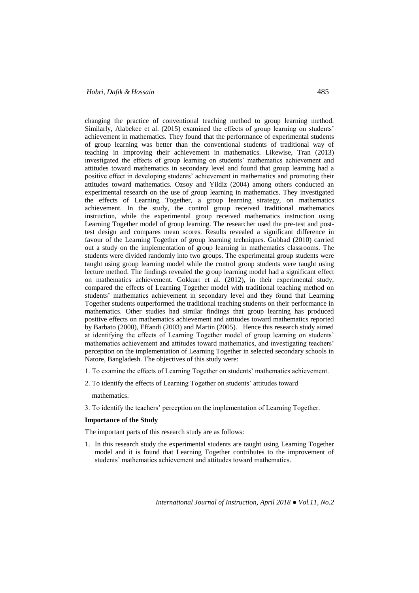# *Hobri, Dafik & Hossain* 485

changing the practice of conventional teaching method to group learning method. Similarly, Alabekee et al. (2015) examined the effects of group learning on students' achievement in mathematics. They found that the performance of experimental students of group learning was better than the conventional students of traditional way of teaching in improving their achievement in mathematics. Likewise, Tran (2013) investigated the effects of group learning on students' mathematics achievement and attitudes toward mathematics in secondary level and found that group learning had a positive effect in developing students' achievement in mathematics and promoting their attitudes toward mathematics. Ozsoy and Yildiz (2004) among others conducted an experimental research on the use of group learning in mathematics. They investigated the effects of Learning Together, a group learning strategy, on mathematics achievement. In the study, the control group received traditional mathematics instruction, while the experimental group received mathematics instruction using Learning Together model of group learning. The researcher used the pre-test and posttest design and compares mean scores. Results revealed a significant difference in favour of the Learning Together of group learning techniques. Gubbad (2010) carried out a study on the implementation of group learning in mathematics classrooms. The students were divided randomly into two groups. The experimental group students were taught using group learning model while the control group students were taught using lecture method. The findings revealed the group learning model had a significant effect on mathematics achievement. Gokkurt et al. (2012), in their experimental study, compared the effects of Learning Together model with traditional teaching method on students' mathematics achievement in secondary level and they found that Learning Together students outperformed the traditional teaching students on their performance in mathematics. Other studies had similar findings that group learning has produced positive effects on mathematics achievement and attitudes toward mathematics reported by Barbato (2000), Effandi (2003) and Martin (2005). Hence this research study aimed at identifying the effects of Learning Together model of group learning on students' mathematics achievement and attitudes toward mathematics, and investigating teachers' perception on the implementation of Learning Together in selected secondary schools in Natore, Bangladesh. The objectives of this study were:

- 1. To examine the effects of Learning Together on students' mathematics achievement.
- 2. To identify the effects of Learning Together on students' attitudes toward

mathematics.

3. To identify the teachers' perception on the implementation of Learning Together.

### **Importance of the Study**

The important parts of this research study are as follows:

1. In this research study the experimental students are taught using Learning Together model and it is found that Learning Together contributes to the improvement of students' mathematics achievement and attitudes toward mathematics.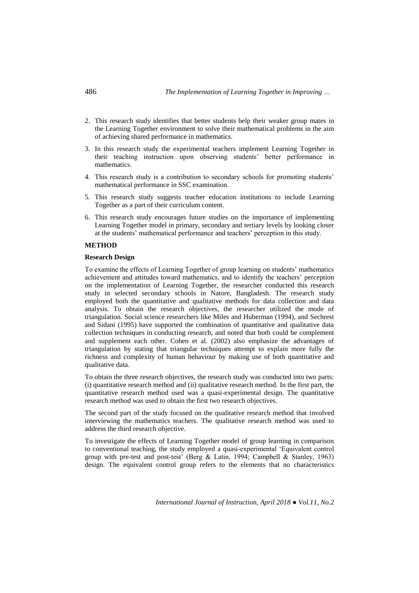- 2. This research study identifies that better students help their weaker group mates in the Learning Together environment to solve their mathematical problems in the aim of achieving shared performance in mathematics.
- 3. In this research study the experimental teachers implement Learning Together in their teaching instruction upon observing students' better performance in mathematics.
- 4. This research study is a contribution to secondary schools for promoting students' mathematical performance in SSC examination.
- 5. This research study suggests teacher education institutions to include Learning Together as a part of their curriculum content.
- 6. This research study encourages future studies on the importance of implementing Learning Together model in primary, secondary and tertiary levels by looking closer at the students' mathematical performance and teachers' perception in this study.

### **METHOD**

# **Research Design**

To examine the effects of Learning Together of group learning on students' mathematics achievement and attitudes toward mathematics, and to identify the teachers' perception on the implementation of Learning Together, the researcher conducted this research study in selected secondary schools in Natore, Bangladesh. The research study employed both the quantitative and qualitative methods for data collection and data analysis. To obtain the research objectives, the researcher utilized the mode of triangulation. Social science researchers like Miles and Huberman (1994), and Sechrest and Sidani (1995) have supported the combination of quantitative and qualitative data collection techniques in conducting research, and noted that both could be complement and supplement each other. Cohen et al. (2002) also emphasize the advantages of triangulation by stating that triangular techniques attempt to explain more fully the richness and complexity of human behaviour by making use of both quantitative and qualitative data.

To obtain the three research objectives, the research study was conducted into two parts: (i) quantitative research method and (ii) qualitative research method. In the first part, the quantitative research method used was a quasi-experimental design. The quantitative research method was used to obtain the first two research objectives.

The second part of the study focused on the qualitative research method that involved interviewing the mathematics teachers. The qualitative research method was used to address the third research objective.

To investigate the effects of Learning Together model of group learning in comparison to conventional teaching, the study employed a quasi-experimental 'Equivalent control group with pre-test and post-test' (Berg & Latin, 1994; Campbell & Stanley, 1963) design. The equivalent control group refers to the elements that no characteristics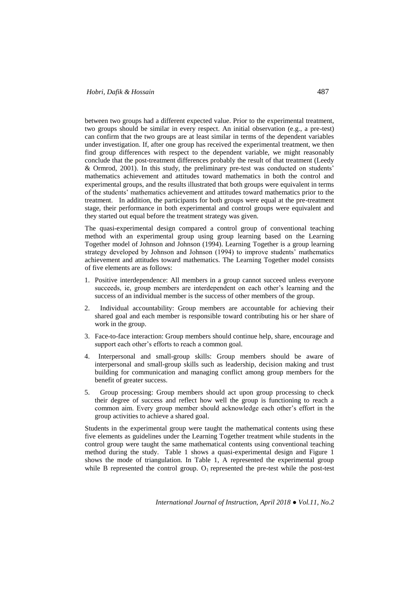between two groups had a different expected value. Prior to the experimental treatment, two groups should be similar in every respect. An initial observation (e.g., a pre-test) can confirm that the two groups are at least similar in terms of the dependent variables under investigation. If, after one group has received the experimental treatment, we then find group differences with respect to the dependent variable, we might reasonably conclude that the post-treatment differences probably the result of that treatment (Leedy & Ormrod, 2001). In this study, the preliminary pre-test was conducted on students' mathematics achievement and attitudes toward mathematics in both the control and experimental groups, and the results illustrated that both groups were equivalent in terms of the students' mathematics achievement and attitudes toward mathematics prior to the treatment. In addition, the participants for both groups were equal at the pre-treatment stage, their performance in both experimental and control groups were equivalent and they started out equal before the treatment strategy was given.

The quasi-experimental design compared a control group of conventional teaching method with an experimental group using group learning based on the Learning Together model of Johnson and Johnson (1994). Learning Together is a group learning strategy developed by Johnson and Johnson (1994) to improve students' mathematics achievement and attitudes toward mathematics. The Learning Together model consists of five elements are as follows:

- 1. Positive interdependence: All members in a group cannot succeed unless everyone succeeds, ie, group members are interdependent on each other's learning and the success of an individual member is the success of other members of the group.
- 2. Individual accountability: Group members are accountable for achieving their shared goal and each member is responsible toward contributing his or her share of work in the group.
- 3. Face-to-face interaction: Group members should continue help, share, encourage and support each other's efforts to reach a common goal.
- 4. Interpersonal and small-group skills: Group members should be aware of interpersonal and small-group skills such as leadership, decision making and trust building for communication and managing conflict among group members for the benefit of greater success.
- 5. Group processing: Group members should act upon group processing to check their degree of success and reflect how well the group is functioning to reach a common aim. Every group member should acknowledge each other's effort in the group activities to achieve a shared goal.

Students in the experimental group were taught the mathematical contents using these five elements as guidelines under the Learning Together treatment while students in the control group were taught the same mathematical contents using conventional teaching method during the study. Table 1 shows a quasi-experimental design and Figure 1 shows the mode of triangulation. In Table 1, A represented the experimental group while B represented the control group.  $O_1$  represented the pre-test while the post-test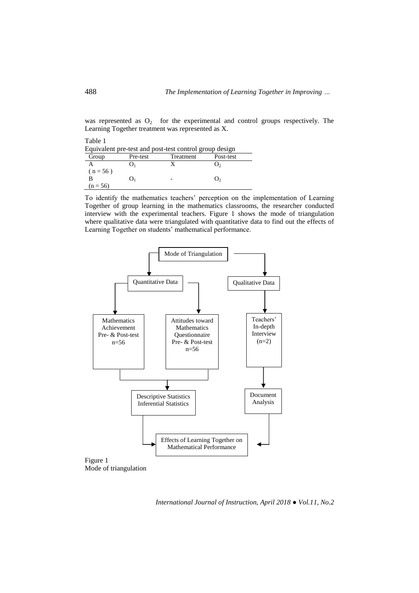was represented as  $O_2$  for the experimental and control groups respectively. The Learning Together treatment was represented as X.

| Table 1    |          |                                                        |           |
|------------|----------|--------------------------------------------------------|-----------|
|            |          | Equivalent pre-test and post-test control group design |           |
| Group      | Pre-test | <b>Treatment</b>                                       | Post-test |
|            |          | X                                                      | J۵        |
| $(n = 56)$ |          |                                                        |           |
| в          |          |                                                        | υ,        |
| $(n = 56)$ |          |                                                        |           |

To identify the mathematics teachers' perception on the implementation of Learning Together of group learning in the mathematics classrooms, the researcher conducted interview with the experimental teachers. Figure 1 shows the mode of triangulation where qualitative data were triangulated with quantitative data to find out the effects of Learning Together on students' mathematical performance.



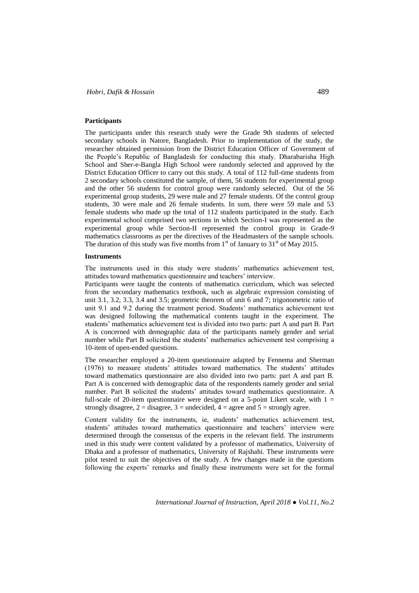### **Participants**

The participants under this research study were the Grade 9th students of selected secondary schools in Natore, Bangladesh. Prior to implementation of the study, the researcher obtained permission from the District Education Officer of Government of the People's Republic of Bangladesh for conducting this study. Dharabarisha High School and Sher-e-Bangla High School were randomly selected and approved by the District Education Officer to carry out this study. A total of 112 full-time students from 2 secondary schools constituted the sample, of them, 56 students for experimental group and the other 56 students for control group were randomly selected. Out of the 56 experimental group students, 29 were male and 27 female students. Of the control group students, 30 were male and 26 female students. In sum, there were 59 male and 53 female students who made up the total of 112 students participated in the study. Each experimental school comprised two sections in which Section-I was represented as the experimental group while Section-II represented the control group in Grade-9 mathematics classrooms as per the directives of the Headmasters of the sample schools. The duration of this study was five months from  $1<sup>st</sup>$  of January to  $31<sup>st</sup>$  of May 2015.

#### **Instruments**

The instruments used in this study were students' mathematics achievement test, attitudes toward mathematics questionnaire and teachers' interview.

Participants were taught the contents of mathematics curriculum, which was selected from the secondary mathematics textbook, such as algebraic expression consisting of unit 3.1, 3.2, 3.3, 3.4 and 3.5; geometric theorem of unit 6 and 7; trigonometric ratio of unit 9.1 and 9.2 during the treatment period. Students' mathematics achievement test was designed following the mathematical contents taught in the experiment. The students' mathematics achievement test is divided into two parts: part A and part B. Part A is concerned with demographic data of the participants namely gender and serial number while Part B solicited the students' mathematics achievement test comprising a 10-item of open-ended questions.

The researcher employed a 20-item questionnaire adapted by Fennema and Sherman (1976) to measure students' attitudes toward mathematics. The students' attitudes toward mathematics questionnaire are also divided into two parts: part A and part B. Part A is concerned with demographic data of the respondents namely gender and serial number. Part B solicited the students' attitudes toward mathematics questionnaire. A full-scale of 20-item questionnaire were designed on a 5-point Likert scale, with  $1 =$ strongly disagree,  $2 =$  disagree,  $3 =$  undecided,  $4 =$  agree and  $5 =$  strongly agree.

Content validity for the instruments, ie, students' mathematics achievement test, students' attitudes toward mathematics questionnaire and teachers' interview were determined through the consensus of the experts in the relevant field. The instruments used in this study were content validated by a professor of mathematics, University of Dhaka and a professor of mathematics, University of Rajshahi. These instruments were pilot tested to suit the objectives of the study. A few changes made in the questions following the experts' remarks and finally these instruments were set for the formal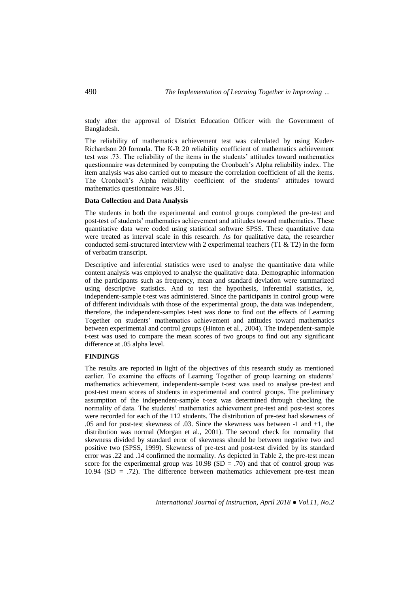study after the approval of District Education Officer with the Government of Bangladesh.

The reliability of mathematics achievement test was calculated by using Kuder-Richardson 20 formula. The K-R 20 reliability coefficient of mathematics achievement test was .73. The reliability of the items in the students' attitudes toward mathematics questionnaire was determined by computing the Cronbach's Alpha reliability index. The item analysis was also carried out to measure the correlation coefficient of all the items. The Cronbach's Alpha reliability coefficient of the students' attitudes toward mathematics questionnaire was .81.

### **Data Collection and Data Analysis**

The students in both the experimental and control groups completed the pre-test and post-test of students' mathematics achievement and attitudes toward mathematics. These quantitative data were coded using statistical software SPSS. These quantitative data were treated as interval scale in this research. As for qualitative data, the researcher conducted semi-structured interview with 2 experimental teachers (T1  $\&$  T2) in the form of verbatim transcript.

Descriptive and inferential statistics were used to analyse the quantitative data while content analysis was employed to analyse the qualitative data. Demographic information of the participants such as frequency, mean and standard deviation were summarized using descriptive statistics. And to test the hypothesis, inferential statistics, ie, independent-sample t-test was administered. Since the participants in control group were of different individuals with those of the experimental group, the data was independent, therefore, the independent-samples t-test was done to find out the effects of Learning Together on students' mathematics achievement and attitudes toward mathematics between experimental and control groups (Hinton et al., 2004). The independent-sample t-test was used to compare the mean scores of two groups to find out any significant difference at .05 alpha level.

### **FINDINGS**

The results are reported in light of the objectives of this research study as mentioned earlier. To examine the effects of Learning Together of group learning on students' mathematics achievement, independent-sample t-test was used to analyse pre-test and post-test mean scores of students in experimental and control groups. The preliminary assumption of the independent-sample t-test was determined through checking the normality of data. The students' mathematics achievement pre-test and post-test scores were recorded for each of the 112 students. The distribution of pre-test had skewness of .05 and for post-test skewness of .03. Since the skewness was between -1 and +1, the distribution was normal (Morgan et al., 2001). The second check for normality that skewness divided by standard error of skewness should be between negative two and positive two (SPSS, 1999). Skewness of pre-test and post-test divided by its standard error was .22 and .14 confirmed the normality. As depicted in Table 2, the pre-test mean score for the experimental group was  $10.98$  (SD = .70) and that of control group was 10.94 (SD = .72). The difference between mathematics achievement pre-test mean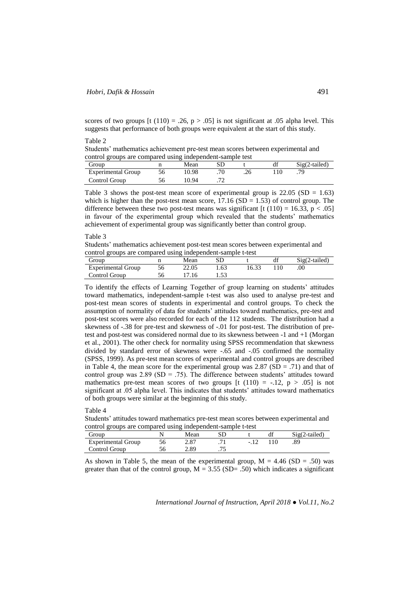scores of two groups  $[t(110) = .26, p > .05]$  is not significant at 0.05 alpha level. This suggests that performance of both groups were equivalent at the start of this study.

Table 2

Students' mathematics achievement pre-test mean scores between experimental and control groups are compared using independent-sample test

| Group                     | Mean  |  | df | $Sig(2-tailed)$ |
|---------------------------|-------|--|----|-----------------|
| <b>Experimental Group</b> | 0.98  |  |    |                 |
| Control Group             | 10.94 |  |    |                 |

Table 3 shows the post-test mean score of experimental group is  $22.05$  (SD = 1.63) which is higher than the post-test mean score,  $17.16$  (SD = 1.53) of control group. The difference between these two post-test means was significant [t (110) = 16.33,  $p < .05$ ] in favour of the experimental group which revealed that the students' mathematics achievement of experimental group was significantly better than control group.

### Table 3

Students' mathematics achievement post-test mean scores between experimental and control groups are compared using independent-sample t-test

| Group                     | Mean  |      |       | $Sig(2-tailed)$ |
|---------------------------|-------|------|-------|-----------------|
| <b>Experimental Group</b> | 22.05 | 1.63 | 16.33 |                 |
| Control Group             | .16   | 1.JJ |       |                 |

To identify the effects of Learning Together of group learning on students' attitudes toward mathematics, independent-sample t-test was also used to analyse pre-test and post-test mean scores of students in experimental and control groups. To check the assumption of normality of data for students' attitudes toward mathematics, pre-test and post-test scores were also recorded for each of the 112 students. The distribution had a skewness of -.38 for pre-test and skewness of -.01 for post-test. The distribution of pretest and post-test was considered normal due to its skewness between -1 and +1 (Morgan et al., 2001). The other check for normality using SPSS recommendation that skewness divided by standard error of skewness were -.65 and -.05 confirmed the normality (SPSS, 1999). As pre-test mean scores of experimental and control groups are described in Table 4, the mean score for the experimental group was  $2.87$  (SD = .71) and that of control group was  $2.89$  (SD = .75). The difference between students' attitudes toward mathematics pre-test mean scores of two groups  $[t (110) = -12, p > .05]$  is not significant at .05 alpha level. This indicates that students' attitudes toward mathematics of both groups were similar at the beginning of this study.

# Table 4

Students' attitudes toward mathematics pre-test mean scores between experimental and control groups are compared using independent-sample t-test

| Group                     | Mean |  |         | $Sig(2-tailed)$ |
|---------------------------|------|--|---------|-----------------|
| <b>Experimental Group</b> | 2.87 |  | $110 -$ | .89             |
| Control Group             | 2.89 |  |         |                 |

As shown in Table 5, the mean of the experimental group,  $M = 4.46$  (SD = .50) was greater than that of the control group,  $M = 3.55$  (SD= .50) which indicates a significant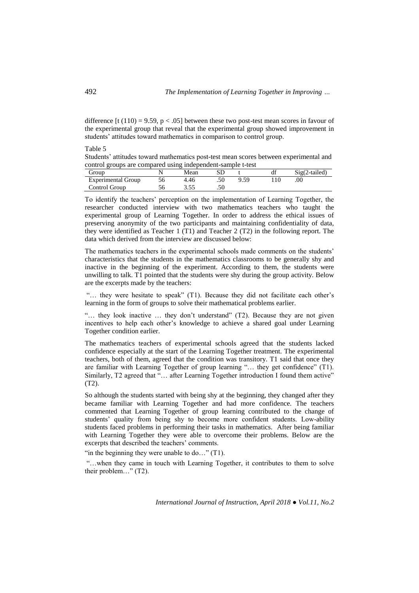difference [t (110) = 9.59,  $p < .05$ ] between these two post-test mean scores in favour of the experimental group that reveal that the experimental group showed improvement in students' attitudes toward mathematics in comparison to control group.

| Tavit J                                                                               |
|---------------------------------------------------------------------------------------|
| Students' attitudes toward mathematics post-test mean scores between experimental and |
| control groups are compared using independent-sample t-test                           |

| Group                     | Mean |      | $Sig(2-tailed)$ |
|---------------------------|------|------|-----------------|
| <b>Experimental Group</b> | 4.46 | 9.59 | .00             |
| Control Group             | .    |      |                 |

To identify the teachers' perception on the implementation of Learning Together, the researcher conducted interview with two mathematics teachers who taught the experimental group of Learning Together. In order to address the ethical issues of preserving anonymity of the two participants and maintaining confidentiality of data, they were identified as Teacher 1 (T1) and Teacher 2 (T2) in the following report. The data which derived from the interview are discussed below:

The mathematics teachers in the experimental schools made comments on the students' characteristics that the students in the mathematics classrooms to be generally shy and inactive in the beginning of the experiment. According to them, the students were unwilling to talk. T1 pointed that the students were shy during the group activity. Below are the excerpts made by the teachers:

"... they were hesitate to speak" (T1). Because they did not facilitate each other's learning in the form of groups to solve their mathematical problems earlier.

"... they look inactive ... they don't understand" (T2). Because they are not given incentives to help each other's knowledge to achieve a shared goal under Learning Together condition earlier.

The mathematics teachers of experimental schools agreed that the students lacked confidence especially at the start of the Learning Together treatment. The experimental teachers, both of them, agreed that the condition was transitory. T1 said that once they are familiar with Learning Together of group learning "… they get confidence" (T1). Similarly, T2 agreed that "... after Learning Together introduction I found them active" (T2).

So although the students started with being shy at the beginning, they changed after they became familiar with Learning Together and had more confidence. The teachers commented that Learning Together of group learning contributed to the change of students' quality from being shy to become more confident students. Low-ability students faced problems in performing their tasks in mathematics. After being familiar with Learning Together they were able to overcome their problems. Below are the excerpts that described the teachers' comments.

"in the beginning they were unable to do..."  $(T1)$ .

"…when they came in touch with Learning Together, it contributes to them to solve their problem…" (T2).

*International Journal of Instruction, April 2018 ● Vol.11, No.2*

 $T_0 h l_0 \zeta$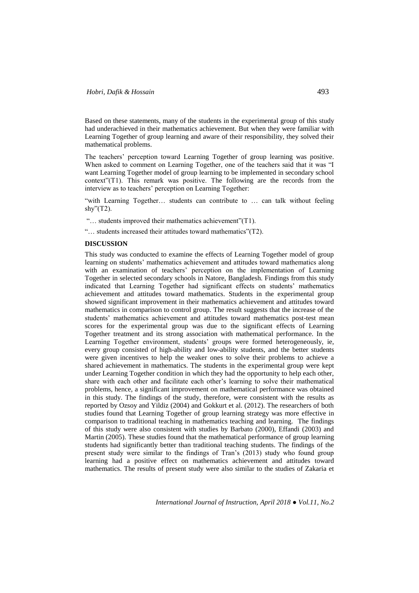Based on these statements, many of the students in the experimental group of this study had underachieved in their mathematics achievement. But when they were familiar with Learning Together of group learning and aware of their responsibility, they solved their mathematical problems.

The teachers' perception toward Learning Together of group learning was positive. When asked to comment on Learning Together, one of the teachers said that it was "I want Learning Together model of group learning to be implemented in secondary school context"(T1). This remark was positive. The following are the records from the interview as to teachers' perception on Learning Together:

"with Learning Together… students can contribute to … can talk without feeling shy" $(T2)$ .

"… students improved their mathematics achievement"(T1).

"… students increased their attitudes toward mathematics"(T2).

# **DISCUSSION**

This study was conducted to examine the effects of Learning Together model of group learning on students' mathematics achievement and attitudes toward mathematics along with an examination of teachers' perception on the implementation of Learning Together in selected secondary schools in Natore, Bangladesh. Findings from this study indicated that Learning Together had significant effects on students' mathematics achievement and attitudes toward mathematics. Students in the experimental group showed significant improvement in their mathematics achievement and attitudes toward mathematics in comparison to control group. The result suggests that the increase of the students' mathematics achievement and attitudes toward mathematics post-test mean scores for the experimental group was due to the significant effects of Learning Together treatment and its strong association with mathematical performance. In the Learning Together environment, students' groups were formed heterogeneously, ie, every group consisted of high-ability and low-ability students, and the better students were given incentives to help the weaker ones to solve their problems to achieve a shared achievement in mathematics. The students in the experimental group were kept under Learning Together condition in which they had the opportunity to help each other, share with each other and facilitate each other's learning to solve their mathematical problems, hence, a significant improvement on mathematical performance was obtained in this study. The findings of the study, therefore, were consistent with the results as reported by Ozsoy and Yildiz (2004) and Gokkurt et al. (2012). The researchers of both studies found that Learning Together of group learning strategy was more effective in comparison to traditional teaching in mathematics teaching and learning. The findings of this study were also consistent with studies by Barbato (2000), Effandi (2003) and Martin (2005). These studies found that the mathematical performance of group learning students had significantly better than traditional teaching students. The findings of the present study were similar to the findings of Tran's (2013) study who found group learning had a positive effect on mathematics achievement and attitudes toward mathematics. The results of present study were also similar to the studies of Zakaria et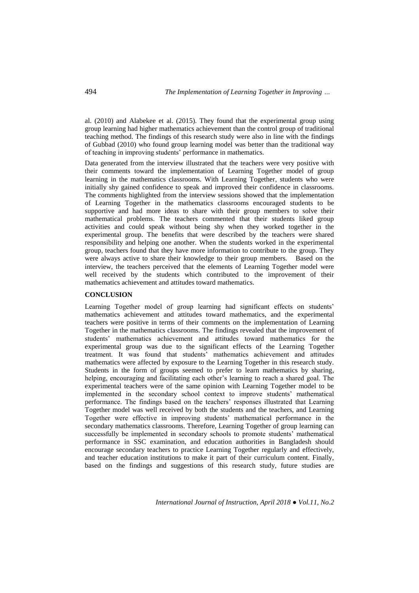al. (2010) and Alabekee et al. (2015). They found that the experimental group using group learning had higher mathematics achievement than the control group of traditional teaching method. The findings of this research study were also in line with the findings of Gubbad (2010) who found group learning model was better than the traditional way of teaching in improving students' performance in mathematics.

Data generated from the interview illustrated that the teachers were very positive with their comments toward the implementation of Learning Together model of group learning in the mathematics classrooms. With Learning Together, students who were initially shy gained confidence to speak and improved their confidence in classrooms. The comments highlighted from the interview sessions showed that the implementation of Learning Together in the mathematics classrooms encouraged students to be supportive and had more ideas to share with their group members to solve their mathematical problems. The teachers commented that their students liked group activities and could speak without being shy when they worked together in the experimental group. The benefits that were described by the teachers were shared responsibility and helping one another. When the students worked in the experimental group, teachers found that they have more information to contribute to the group. They were always active to share their knowledge to their group members. Based on the interview, the teachers perceived that the elements of Learning Together model were well received by the students which contributed to the improvement of their mathematics achievement and attitudes toward mathematics.

### **CONCLUSION**

Learning Together model of group learning had significant effects on students' mathematics achievement and attitudes toward mathematics, and the experimental teachers were positive in terms of their comments on the implementation of Learning Together in the mathematics classrooms. The findings revealed that the improvement of students' mathematics achievement and attitudes toward mathematics for the experimental group was due to the significant effects of the Learning Together treatment. It was found that students' mathematics achievement and attitudes mathematics were affected by exposure to the Learning Together in this research study. Students in the form of groups seemed to prefer to learn mathematics by sharing, helping, encouraging and facilitating each other's learning to reach a shared goal. The experimental teachers were of the same opinion with Learning Together model to be implemented in the secondary school context to improve students' mathematical performance. The findings based on the teachers' responses illustrated that Learning Together model was well received by both the students and the teachers, and Learning Together were effective in improving students' mathematical performance in the secondary mathematics classrooms. Therefore, Learning Together of group learning can successfully be implemented in secondary schools to promote students' mathematical performance in SSC examination, and education authorities in Bangladesh should encourage secondary teachers to practice Learning Together regularly and effectively, and teacher education institutions to make it part of their curriculum content. Finally, based on the findings and suggestions of this research study, future studies are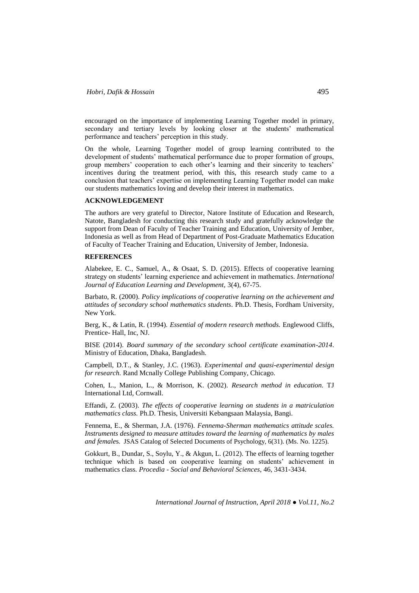encouraged on the importance of implementing Learning Together model in primary, secondary and tertiary levels by looking closer at the students' mathematical performance and teachers' perception in this study.

On the whole, Learning Together model of group learning contributed to the development of students' mathematical performance due to proper formation of groups, group members' cooperation to each other's learning and their sincerity to teachers' incentives during the treatment period, with this, this research study came to a conclusion that teachers' expertise on implementing Learning Together model can make our students mathematics loving and develop their interest in mathematics.

### **ACKNOWLEDGEMENT**

The authors are very grateful to Director, Natore Institute of Education and Research, Natote, Bangladesh for conducting this research study and gratefully acknowledge the support from Dean of Faculty of Teacher Training and Education, University of Jember, Indonesia as well as from Head of Department of Post-Graduate Mathematics Education of Faculty of Teacher Training and Education, University of Jember, Indonesia.

### **REFERENCES**

Alabekee, E. C., Samuel, A., & Osaat, S. D. (2015). Effects of cooperative learning strategy on students' learning experience and achievement in mathematics. *International Journal of Education Learning and Development,* 3(4), 67-75.

Barbato, R. (2000). *Policy implications of cooperative learning on the achievement and attitudes of secondary school mathematics students*. Ph.D. Thesis, Fordham University, New York.

Berg, K., & Latin, R. (1994). *Essential of modern research methods.* Englewood Cliffs, Prentice- Hall, Inc, NJ.

BISE (2014). *Board summary of the secondary school certificate examination-2014*. Ministry of Education, Dhaka, Bangladesh.

Campbell, D.T., & Stanley, J.C. (1963). *Experimental and quasi-experimental design for research.* Rand Mcnally College Publishing Company, Chicago.

Cohen, L., Manion, L., & Morrison, K. (2002). *Research method in education.* TJ International Ltd, Cornwall.

Effandi, Z. (2003). *The effects of cooperative learning on students in a matriculation mathematics class.* Ph.D. Thesis, Universiti Kebangsaan Malaysia, Bangi.

Fennema, E., & Sherman, J.A. (1976). *Fennema-Sherman mathematics attitude scales. Instruments designed to measure attitudes toward the learning of mathematics by males and female*s. JSAS Catalog of Selected Documents of Psychology, 6(31). (Ms. No. 1225).

Gokkurt, B., Dundar, S., Soylu, Y., & Akgun, L. (2012). The effects of learning together technique which is based on cooperative learning on students' achievement in mathematics class. *Procedia - Social and Behavioral Sciences*, 46, 3431-3434.